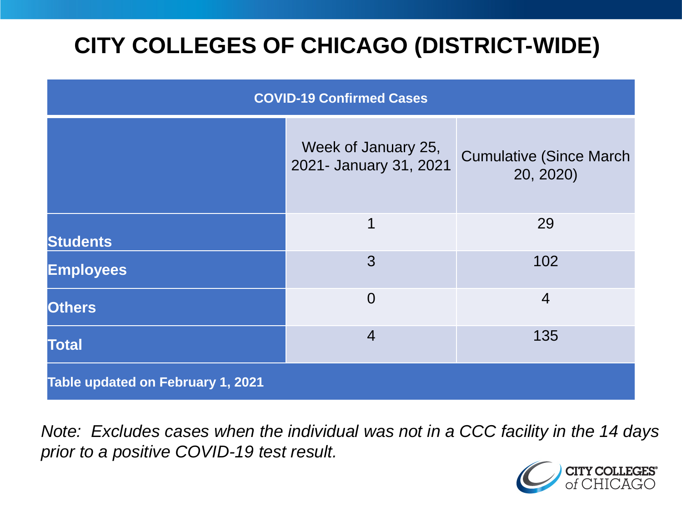# **CITY COLLEGES OF CHICAGO (DISTRICT-WIDE)**

| <b>COVID-19 Confirmed Cases</b>   |                                               |                                              |
|-----------------------------------|-----------------------------------------------|----------------------------------------------|
|                                   | Week of January 25,<br>2021- January 31, 2021 | <b>Cumulative (Since March)</b><br>20, 2020) |
| <b>Students</b>                   | 1                                             | 29                                           |
| <b>Employees</b>                  | 3                                             | 102                                          |
| <b>Others</b>                     | $\overline{0}$                                | $\overline{4}$                               |
| <b>Total</b>                      | $\overline{4}$                                | 135                                          |
| Table updated on February 1, 2021 |                                               |                                              |

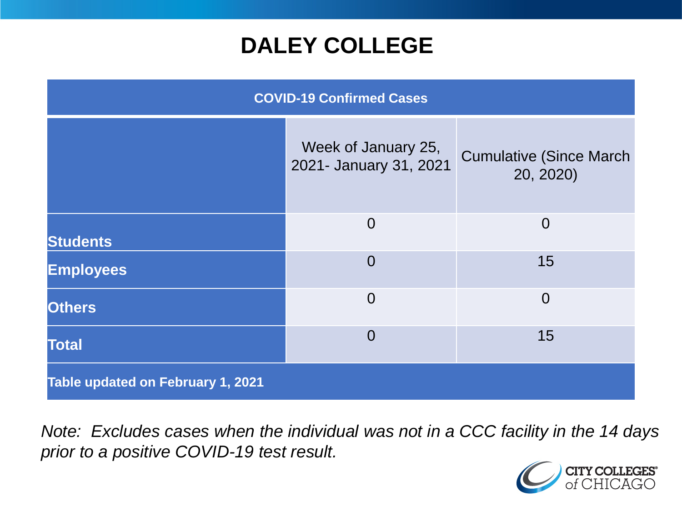## **DALEY COLLEGE**

| <b>COVID-19 Confirmed Cases</b>   |                                               |                                              |
|-----------------------------------|-----------------------------------------------|----------------------------------------------|
|                                   | Week of January 25,<br>2021- January 31, 2021 | <b>Cumulative (Since March)</b><br>20, 2020) |
| <b>Students</b>                   | $\overline{0}$                                | $\overline{0}$                               |
| <b>Employees</b>                  | $\overline{0}$                                | 15                                           |
| <b>Others</b>                     | $\overline{0}$                                | $\overline{0}$                               |
| <b>Total</b>                      | $\overline{0}$                                | 15                                           |
| Table updated on February 1, 2021 |                                               |                                              |

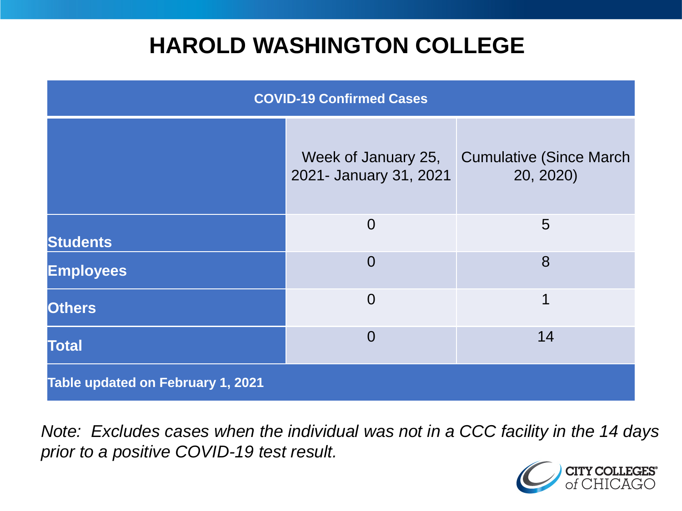## **HAROLD WASHINGTON COLLEGE**

| <b>COVID-19 Confirmed Cases</b>   |                                               |                                              |
|-----------------------------------|-----------------------------------------------|----------------------------------------------|
|                                   | Week of January 25,<br>2021- January 31, 2021 | <b>Cumulative (Since March)</b><br>20, 2020) |
| <b>Students</b>                   | $\overline{0}$                                | $5\overline{)}$                              |
| <b>Employees</b>                  | $\Omega$                                      | 8                                            |
| <b>Others</b>                     | $\overline{0}$                                | 1                                            |
| <b>Total</b>                      | $\Omega$                                      | 14                                           |
| Table updated on February 1, 2021 |                                               |                                              |

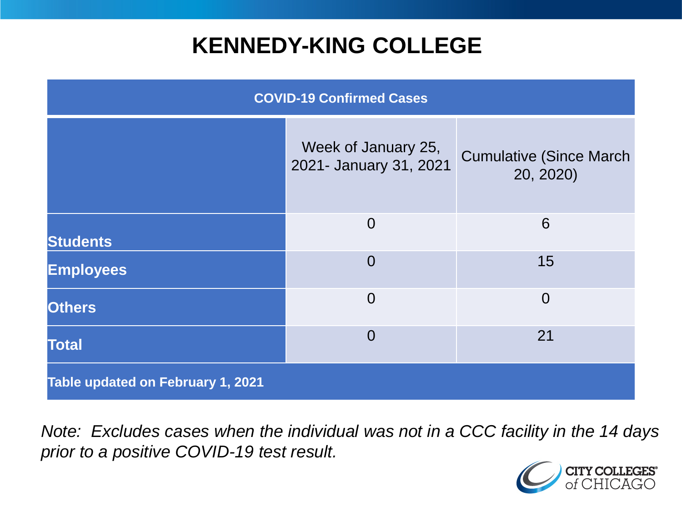## **KENNEDY-KING COLLEGE**

| <b>COVID-19 Confirmed Cases</b>   |                                               |                                              |
|-----------------------------------|-----------------------------------------------|----------------------------------------------|
|                                   | Week of January 25,<br>2021- January 31, 2021 | <b>Cumulative (Since March)</b><br>20, 2020) |
| <b>Students</b>                   | $\overline{0}$                                | 6                                            |
| <b>Employees</b>                  | $\overline{0}$                                | 15                                           |
| <b>Others</b>                     | $\overline{0}$                                | $\overline{0}$                               |
| <b>Total</b>                      | $\overline{0}$                                | 21                                           |
| Table updated on February 1, 2021 |                                               |                                              |

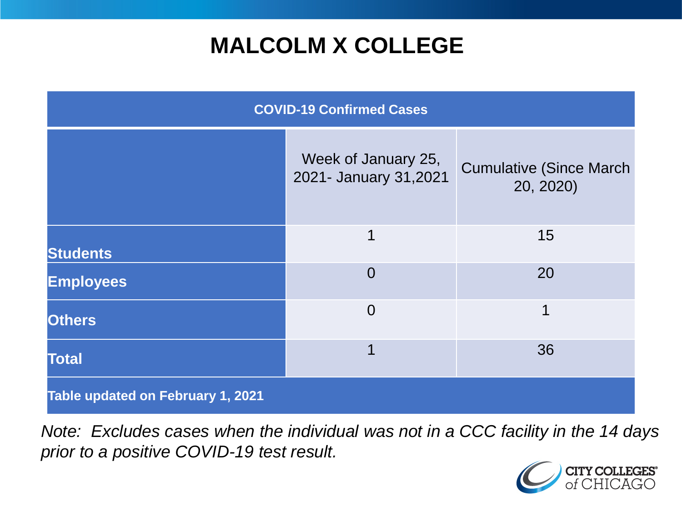## **MALCOLM X COLLEGE**

| <b>COVID-19 Confirmed Cases</b>   |                                              |                                              |
|-----------------------------------|----------------------------------------------|----------------------------------------------|
|                                   | Week of January 25,<br>2021- January 31,2021 | <b>Cumulative (Since March)</b><br>20, 2020) |
| <b>Students</b>                   | 1                                            | 15                                           |
| <b>Employees</b>                  | $\Omega$                                     | 20                                           |
| <b>Others</b>                     | $\overline{0}$                               | 1                                            |
| <b>Total</b>                      | 1                                            | 36                                           |
| Table updated on February 1, 2021 |                                              |                                              |

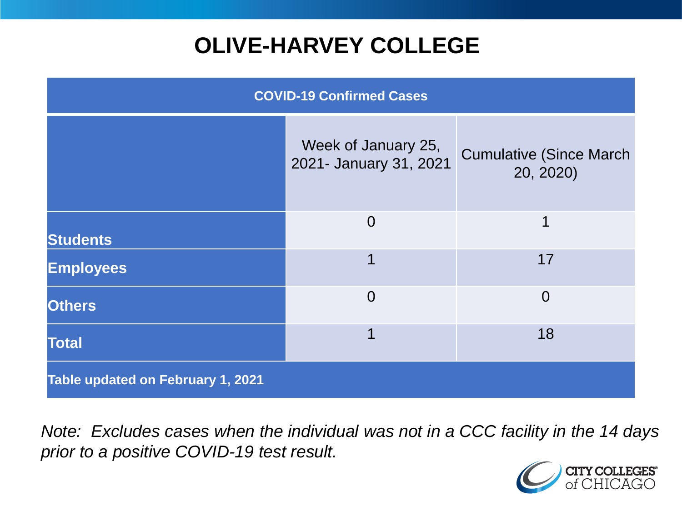# **OLIVE-HARVEY COLLEGE**

| <b>COVID-19 Confirmed Cases</b>          |                                               |                                              |
|------------------------------------------|-----------------------------------------------|----------------------------------------------|
|                                          | Week of January 25,<br>2021- January 31, 2021 | <b>Cumulative (Since March)</b><br>20, 2020) |
| <b>Students</b>                          | $\overline{0}$                                | 1                                            |
| <b>Employees</b>                         | 1                                             | 17                                           |
| <b>Others</b>                            | $\overline{0}$                                | $\overline{0}$                               |
| <b>Total</b>                             | 1                                             | 18                                           |
| <b>Table updated on February 1, 2021</b> |                                               |                                              |

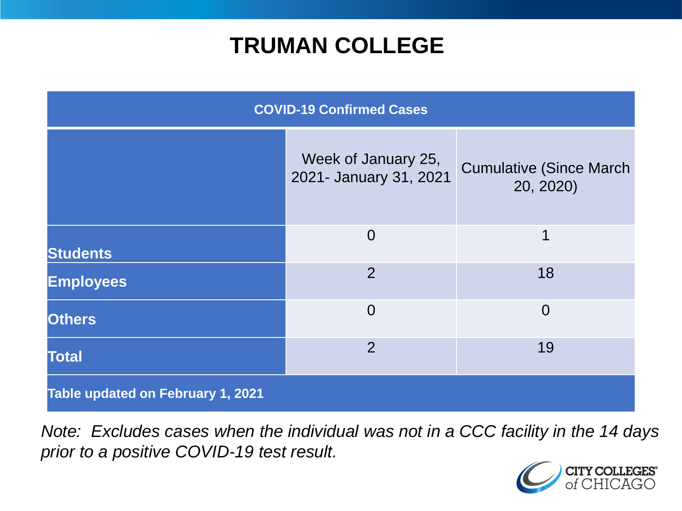## **TRUMAN COLLEGE**

| <b>COVID-19 Confirmed Cases</b>   |                                               |                                              |
|-----------------------------------|-----------------------------------------------|----------------------------------------------|
|                                   | Week of January 25,<br>2021- January 31, 2021 | <b>Cumulative (Since March)</b><br>20, 2020) |
| <b>Students</b>                   | $\overline{0}$                                | 1                                            |
| <b>Employees</b>                  | $\overline{2}$                                | 18                                           |
| <b>Others</b>                     | $\overline{0}$                                | $\overline{0}$                               |
| <b>Total</b>                      | $\overline{2}$                                | 19                                           |
| Table updated on February 1, 2021 |                                               |                                              |

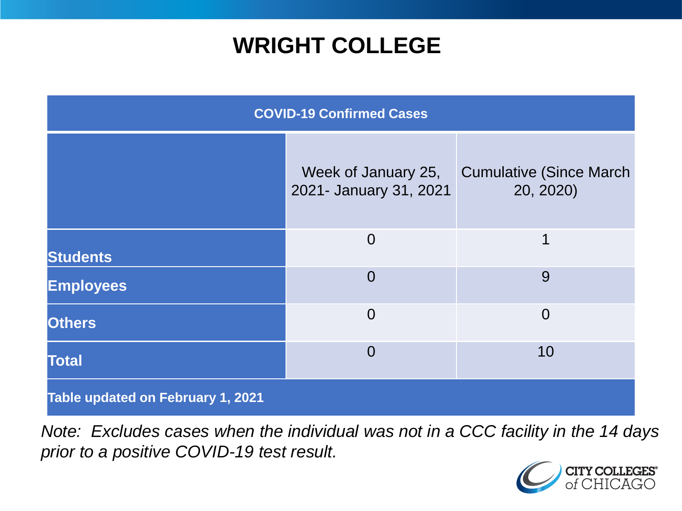## **WRIGHT COLLEGE**

| <b>COVID-19 Confirmed Cases</b>   |                                               |                                              |
|-----------------------------------|-----------------------------------------------|----------------------------------------------|
|                                   | Week of January 25,<br>2021- January 31, 2021 | <b>Cumulative (Since March)</b><br>20, 2020) |
| <b>Students</b>                   | $\overline{0}$                                | 1                                            |
| <b>Employees</b>                  | $\overline{0}$                                | 9                                            |
| <b>Others</b>                     | $\overline{0}$                                | $\overline{0}$                               |
| <b>Total</b>                      | $\overline{0}$                                | 10                                           |
| Table updated on February 1, 2021 |                                               |                                              |